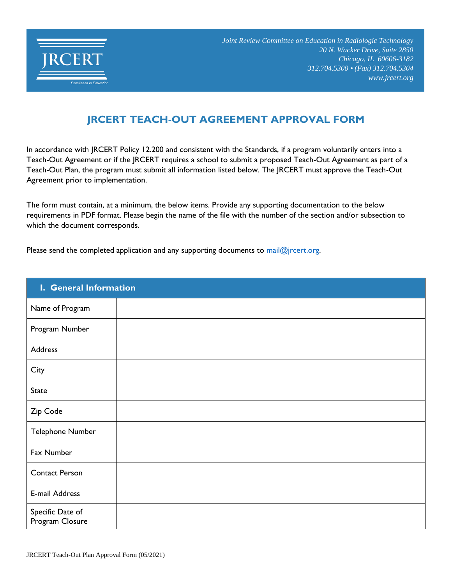

## **JRCERT TEACH-OUT AGREEMENT APPROVAL FORM**

In accordance with JRCERT Policy 12.200 and consistent with the Standards, if a program voluntarily enters into a Teach-Out Agreement or if the JRCERT requires a school to submit a proposed Teach-Out Agreement as part of a Teach-Out Plan, the program must submit all information listed below. The JRCERT must approve the Teach-Out Agreement prior to implementation.

The form must contain, at a minimum, the below items. Provide any supporting documentation to the below requirements in PDF format. Please begin the name of the file with the number of the section and/or subsection to which the document corresponds.

Please send the completed application and any supporting documents to mail@jrcert.org.

| I. General Information              |  |  |  |  |
|-------------------------------------|--|--|--|--|
| Name of Program                     |  |  |  |  |
| Program Number                      |  |  |  |  |
| Address                             |  |  |  |  |
| City                                |  |  |  |  |
| <b>State</b>                        |  |  |  |  |
| Zip Code                            |  |  |  |  |
| Telephone Number                    |  |  |  |  |
| Fax Number                          |  |  |  |  |
| <b>Contact Person</b>               |  |  |  |  |
| E-mail Address                      |  |  |  |  |
| Specific Date of<br>Program Closure |  |  |  |  |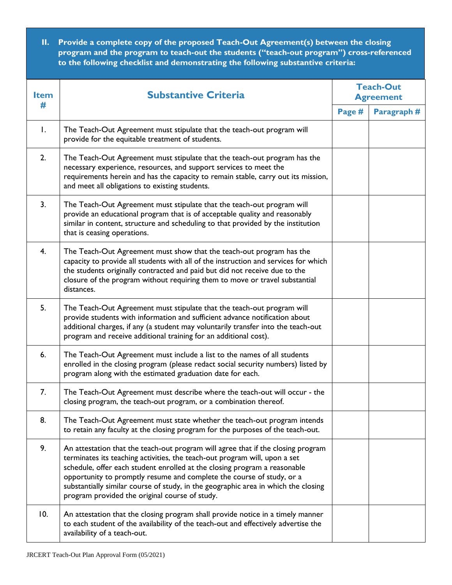**II. Provide a complete copy of the proposed Teach-Out Agreement(s) between the closing program and the program to teach-out the students ("teach-out program") cross-referenced to the following checklist and demonstrating the following substantive criteria:**

| <b>Item</b> | <b>Substantive Criteria</b>                                                                                                                                                                                                                                                                                                                                                                                                                                  | <b>Teach-Out</b><br><b>Agreement</b> |            |
|-------------|--------------------------------------------------------------------------------------------------------------------------------------------------------------------------------------------------------------------------------------------------------------------------------------------------------------------------------------------------------------------------------------------------------------------------------------------------------------|--------------------------------------|------------|
| #           |                                                                                                                                                                                                                                                                                                                                                                                                                                                              |                                      | Paragraph# |
| Ι.          | The Teach-Out Agreement must stipulate that the teach-out program will<br>provide for the equitable treatment of students.                                                                                                                                                                                                                                                                                                                                   |                                      |            |
| 2.          | The Teach-Out Agreement must stipulate that the teach-out program has the<br>necessary experience, resources, and support services to meet the<br>requirements herein and has the capacity to remain stable, carry out its mission,<br>and meet all obligations to existing students.                                                                                                                                                                        |                                      |            |
| 3.          | The Teach-Out Agreement must stipulate that the teach-out program will<br>provide an educational program that is of acceptable quality and reasonably<br>similar in content, structure and scheduling to that provided by the institution<br>that is ceasing operations.                                                                                                                                                                                     |                                      |            |
| 4.          | The Teach-Out Agreement must show that the teach-out program has the<br>capacity to provide all students with all of the instruction and services for which<br>the students originally contracted and paid but did not receive due to the<br>closure of the program without requiring them to move or travel substantial<br>distances.                                                                                                                       |                                      |            |
| 5.          | The Teach-Out Agreement must stipulate that the teach-out program will<br>provide students with information and sufficient advance notification about<br>additional charges, if any (a student may voluntarily transfer into the teach-out<br>program and receive additional training for an additional cost).                                                                                                                                               |                                      |            |
| 6.          | The Teach-Out Agreement must include a list to the names of all students<br>enrolled in the closing program (please redact social security numbers) listed by<br>program along with the estimated graduation date for each.                                                                                                                                                                                                                                  |                                      |            |
| 7.          | The Teach-Out Agreement must describe where the teach-out will occur - the<br>closing program, the teach-out program, or a combination thereof.                                                                                                                                                                                                                                                                                                              |                                      |            |
| 8.          | The Teach-Out Agreement must state whether the teach-out program intends<br>to retain any faculty at the closing program for the purposes of the teach-out.                                                                                                                                                                                                                                                                                                  |                                      |            |
| 9.          | An attestation that the teach-out program will agree that if the closing program<br>terminates its teaching activities, the teach-out program will, upon a set<br>schedule, offer each student enrolled at the closing program a reasonable<br>opportunity to promptly resume and complete the course of study, or a<br>substantially similar course of study, in the geographic area in which the closing<br>program provided the original course of study. |                                      |            |
| 10.         | An attestation that the closing program shall provide notice in a timely manner<br>to each student of the availability of the teach-out and effectively advertise the<br>availability of a teach-out.                                                                                                                                                                                                                                                        |                                      |            |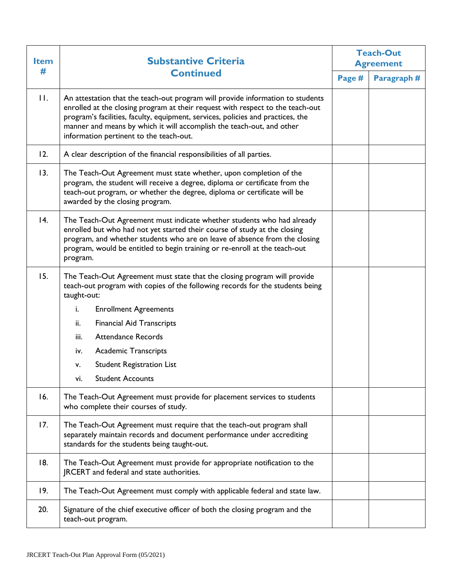| <b>Item</b><br># | <b>Substantive Criteria</b>                                                                                                                                                                                                                                                                                                                                             | <b>Teach-Out</b><br><b>Agreement</b> |            |
|------------------|-------------------------------------------------------------------------------------------------------------------------------------------------------------------------------------------------------------------------------------------------------------------------------------------------------------------------------------------------------------------------|--------------------------------------|------------|
|                  | <b>Continued</b>                                                                                                                                                                                                                                                                                                                                                        |                                      | Paragraph# |
| $\Pi$ .          | An attestation that the teach-out program will provide information to students<br>enrolled at the closing program at their request with respect to the teach-out<br>program's facilities, faculty, equipment, services, policies and practices, the<br>manner and means by which it will accomplish the teach-out, and other<br>information pertinent to the teach-out. |                                      |            |
| 12.              | A clear description of the financial responsibilities of all parties.                                                                                                                                                                                                                                                                                                   |                                      |            |
| 13.              | The Teach-Out Agreement must state whether, upon completion of the<br>program, the student will receive a degree, diploma or certificate from the<br>teach-out program, or whether the degree, diploma or certificate will be<br>awarded by the closing program.                                                                                                        |                                      |            |
| 4.               | The Teach-Out Agreement must indicate whether students who had already<br>enrolled but who had not yet started their course of study at the closing<br>program, and whether students who are on leave of absence from the closing<br>program, would be entitled to begin training or re-enroll at the teach-out<br>program.                                             |                                      |            |
| 15.              | The Teach-Out Agreement must state that the closing program will provide<br>teach-out program with copies of the following records for the students being<br>taught-out:                                                                                                                                                                                                |                                      |            |
|                  | i.<br><b>Enrollment Agreements</b>                                                                                                                                                                                                                                                                                                                                      |                                      |            |
|                  | ii.<br><b>Financial Aid Transcripts</b>                                                                                                                                                                                                                                                                                                                                 |                                      |            |
|                  | Attendance Records<br>iii.                                                                                                                                                                                                                                                                                                                                              |                                      |            |
|                  | <b>Academic Transcripts</b><br>iv.                                                                                                                                                                                                                                                                                                                                      |                                      |            |
|                  | <b>Student Registration List</b><br>v.                                                                                                                                                                                                                                                                                                                                  |                                      |            |
|                  | <b>Student Accounts</b><br>VI.                                                                                                                                                                                                                                                                                                                                          |                                      |            |
| 16.              | The Teach-Out Agreement must provide for placement services to students<br>who complete their courses of study.                                                                                                                                                                                                                                                         |                                      |            |
| 17.              | The Teach-Out Agreement must require that the teach-out program shall<br>separately maintain records and document performance under accrediting<br>standards for the students being taught-out.                                                                                                                                                                         |                                      |            |
| 18.              | The Teach-Out Agreement must provide for appropriate notification to the<br>JRCERT and federal and state authorities.                                                                                                                                                                                                                                                   |                                      |            |
| 19.              | The Teach-Out Agreement must comply with applicable federal and state law.                                                                                                                                                                                                                                                                                              |                                      |            |
| 20.              | Signature of the chief executive officer of both the closing program and the<br>teach-out program.                                                                                                                                                                                                                                                                      |                                      |            |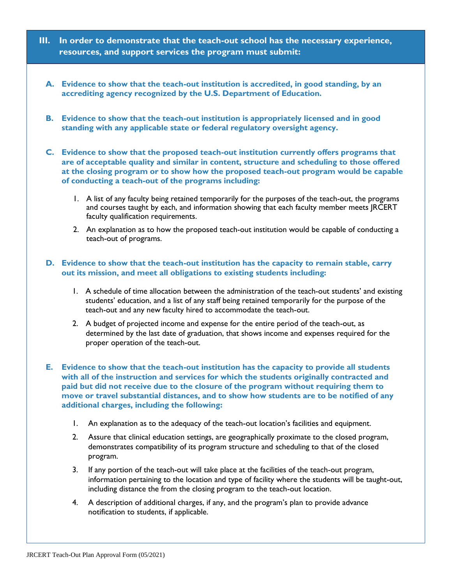- **III. In order to demonstrate that the teach-out school has the necessary experience, resources, and support services the program must submit:**
	- **A. Evidence to show that the teach-out institution is accredited, in good standing, by an accrediting agency recognized by the U.S. Department of Education.**
	- **B. Evidence to show that the teach-out institution is appropriately licensed and in good standing with any applicable state or federal regulatory oversight agency.**
	- **C. Evidence to show that the proposed teach-out institution currently offers programs that are of acceptable quality and similar in content, structure and scheduling to those offered at the closing program or to show how the proposed teach-out program would be capable of conducting a teach-out of the programs including:**
		- 1. A list of any faculty being retained temporarily for the purposes of the teach-out, the programs and courses taught by each, and information showing that each faculty member meets JRCERT faculty qualification requirements.
		- 2. An explanation as to how the proposed teach-out institution would be capable of conducting a teach-out of programs.

## **D. Evidence to show that the teach-out institution has the capacity to remain stable, carry out its mission, and meet all obligations to existing students including:**

- 1. A schedule of time allocation between the administration of the teach-out students' and existing students' education, and a list of any staff being retained temporarily for the purpose of the teach-out and any new faculty hired to accommodate the teach-out.
- 2. A budget of projected income and expense for the entire period of the teach-out, as determined by the last date of graduation, that shows income and expenses required for the proper operation of the teach-out.
- **E. Evidence to show that the teach-out institution has the capacity to provide all students with all of the instruction and services for which the students originally contracted and paid but did not receive due to the closure of the program without requiring them to move or travel substantial distances, and to show how students are to be notified of any additional charges, including the following:**
	- 1. An explanation as to the adequacy of the teach-out location's facilities and equipment.
	- 2. Assure that clinical education settings, are geographically proximate to the closed program, demonstrates compatibility of its program structure and scheduling to that of the closed program.
	- 3. If any portion of the teach-out will take place at the facilities of the teach-out program, information pertaining to the location and type of facility where the students will be taught-out, including distance the from the closing program to the teach-out location.
	- 4. A description of additional charges, if any, and the program's plan to provide advance notification to students, if applicable.